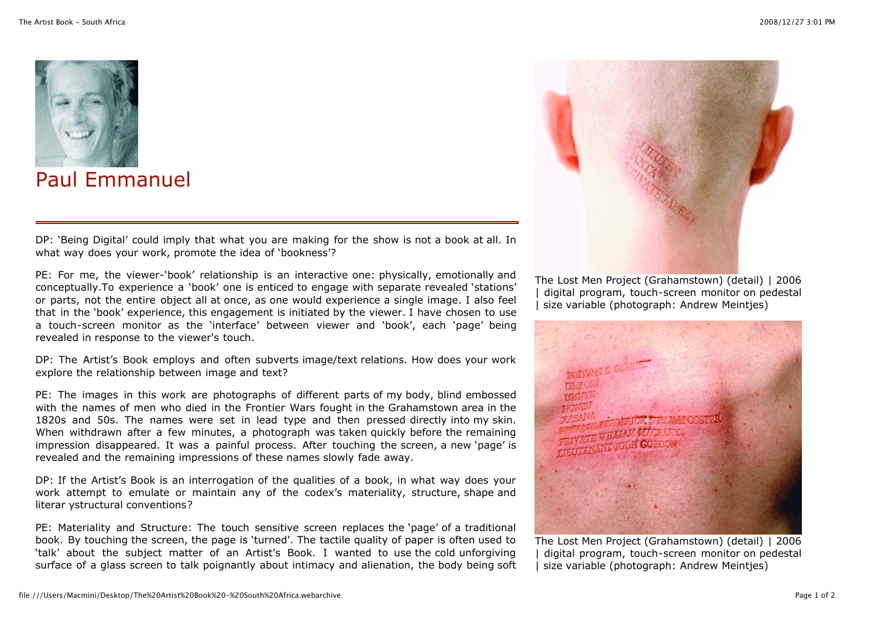

## Paul Emmanuel

DP: 'Being Digital' could imply that what you are making for the show is not a book at all. In what way does your work, promote the idea of 'bookness'?

PE: For me, the viewer-'book' relationship is an interactive one: physically, emotionally and conceptually.To experience a 'book' one is enticed to engage with separate revealed 'stations' or parts, not the entire object all at once, as one would experience a single image. I also feel that in the 'book' experience, this engagement is initiated by the viewer. I have chosen to use a touch-screen monitor as the 'interface' between viewer and 'book', each 'page' being revealed in response to the viewer's touch.

DP: The Artist's Book employs and often subverts image/text relations. How does your work explore the relationship between image and text?

PE: The images in this work are photographs of different parts of my body, blind embossed with the names of men who died in the Frontier Wars fought in the Grahamstown area in the 1820s and 50s. The names were set in lead type and then pressed directly into my skin. When withdrawn after a few minutes, a photograph was taken quickly before the remaining impression disappeared. It was a painful process. After touching the screen, a new 'page' is revealed and the remaining impressions of these names slowly fade away.

DP: If the Artist's Book is an interrogation of the qualities of a book, in what way does your work attempt to emulate or maintain any of the codex's materiality, structure, shape and literar ystructural conventions?

PE: Materiality and Structure: The touch sensitive screen replaces the 'page' of a traditional book. By touching the screen, the page is 'turned'. The tactile quality of paper is often used to 'talk' about the subject matter of an Artist's Book. I wanted to use the cold unforgiving surface of a glass screen to talk poignantly about intimacy and alienation, the body being soft



The Lost Men Project (Grahamstown) (detail) | 2006 digital program, touch-screen monitor on pedestal size variable (photograph: Andrew Meinties)



The Lost Men Project (Grahamstown) (detail) | 2006 digital program, touch-screen monitor on pedestal | size variable (photograph: Andrew Meintjes)